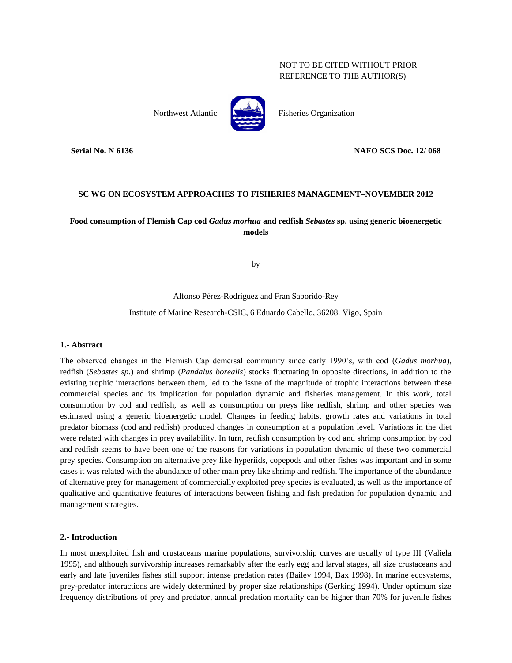# NOT TO BE CITED WITHOUT PRIOR REFERENCE TO THE AUTHOR(S)



Northwest Atlantic **Report Atlantic** Fisheries Organization

**Serial No. N 6136 NAFO SCS Doc. 12/ 068**

# **SC WG ON ECOSYSTEM APPROACHES TO FISHERIES MANAGEMENT–NOVEMBER 2012**

# **Food consumption of Flemish Cap cod** *Gadus morhua* **and redfish** *Sebastes* **sp. using generic bioenergetic models**

by

Alfonso Pérez-Rodríguez and Fran Saborido-Rey

Institute of Marine Research-CSIC, 6 Eduardo Cabello, 36208. Vigo, Spain

# **1.- Abstract**

The observed changes in the Flemish Cap demersal community since early 1990's, with cod (*Gadus morhua*), redfish (*Sebastes sp.*) and shrimp (*Pandalus borealis*) stocks fluctuating in opposite directions, in addition to the existing trophic interactions between them, led to the issue of the magnitude of trophic interactions between these commercial species and its implication for population dynamic and fisheries management. In this work, total consumption by cod and redfish, as well as consumption on preys like redfish, shrimp and other species was estimated using a generic bioenergetic model. Changes in feeding habits, growth rates and variations in total predator biomass (cod and redfish) produced changes in consumption at a population level. Variations in the diet were related with changes in prey availability. In turn, redfish consumption by cod and shrimp consumption by cod and redfish seems to have been one of the reasons for variations in population dynamic of these two commercial prey species. Consumption on alternative prey like hyperiids, copepods and other fishes was important and in some cases it was related with the abundance of other main prey like shrimp and redfish. The importance of the abundance of alternative prey for management of commercially exploited prey species is evaluated, as well as the importance of qualitative and quantitative features of interactions between fishing and fish predation for population dynamic and management strategies.

#### **2.- Introduction**

In most unexploited fish and crustaceans marine populations, survivorship curves are usually of type III (Valiela 1995), and although survivorship increases remarkably after the early egg and larval stages, all size crustaceans and early and late juveniles fishes still support intense predation rates (Bailey 1994, Bax 1998). In marine ecosystems, prey-predator interactions are widely determined by proper size relationships (Gerking 1994). Under optimum size frequency distributions of prey and predator, annual predation mortality can be higher than 70% for juvenile fishes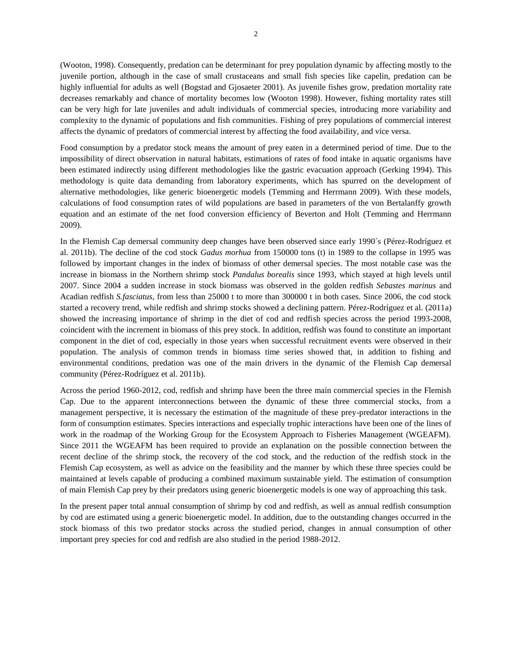(Wooton, 1998). Consequently, predation can be determinant for prey population dynamic by affecting mostly to the juvenile portion, although in the case of small crustaceans and small fish species like capelin, predation can be highly influential for adults as well (Bogstad and Gjosaeter 2001). As juvenile fishes grow, predation mortality rate decreases remarkably and chance of mortality becomes low (Wooton 1998). However, fishing mortality rates still can be very high for late juveniles and adult individuals of commercial species, introducing more variability and complexity to the dynamic of populations and fish communities. Fishing of prey populations of commercial interest affects the dynamic of predators of commercial interest by affecting the food availability, and vice versa.

Food consumption by a predator stock means the amount of prey eaten in a determined period of time. Due to the impossibility of direct observation in natural habitats, estimations of rates of food intake in aquatic organisms have been estimated indirectly using different methodologies like the gastric evacuation approach (Gerking 1994). This methodology is quite data demanding from laboratory experiments, which has spurred on the development of alternative methodologies, like generic bioenergetic models (Temming and Herrmann 2009). With these models, calculations of food consumption rates of wild populations are based in parameters of the von Bertalanffy growth equation and an estimate of the net food conversion efficiency of Beverton and Holt (Temming and Herrmann 2009).

In the Flemish Cap demersal community deep changes have been observed since early 1990´s (Pérez-Rodríguez et al. 2011b). The decline of the cod stock *Gadus morhua* from 150000 tons (t) in 1989 to the collapse in 1995 was followed by important changes in the index of biomass of other demersal species. The most notable case was the increase in biomass in the Northern shrimp stock *Pandalus borealis* since 1993, which stayed at high levels until 2007. Since 2004 a sudden increase in stock biomass was observed in the golden redfish *Sebastes marinus* and Acadian redfish *S.fasciatus*, from less than 25000 t to more than 300000 t in both cases. Since 2006, the cod stock started a recovery trend, while redfish and shrimp stocks showed a declining pattern. Pérez-Rodríguez et al. (2011a) showed the increasing importance of shrimp in the diet of cod and redfish species across the period 1993-2008, coincident with the increment in biomass of this prey stock. In addition, redfish was found to constitute an important component in the diet of cod, especially in those years when successful recruitment events were observed in their population. The analysis of common trends in biomass time series showed that, in addition to fishing and environmental conditions, predation was one of the main drivers in the dynamic of the Flemish Cap demersal community (Pérez-Rodríguez et al. 2011b).

Across the period 1960-2012, cod, redfish and shrimp have been the three main commercial species in the Flemish Cap. Due to the apparent interconnections between the dynamic of these three commercial stocks, from a management perspective, it is necessary the estimation of the magnitude of these prey-predator interactions in the form of consumption estimates. Species interactions and especially trophic interactions have been one of the lines of work in the roadmap of the Working Group for the Ecosystem Approach to Fisheries Management (WGEAFM). Since 2011 the WGEAFM has been required to provide an explanation on the possible connection between the recent decline of the shrimp stock, the recovery of the cod stock, and the reduction of the redfish stock in the Flemish Cap ecosystem, as well as advice on the feasibility and the manner by which these three species could be maintained at levels capable of producing a combined maximum sustainable yield. The estimation of consumption of main Flemish Cap prey by their predators using generic bioenergetic models is one way of approaching this task.

In the present paper total annual consumption of shrimp by cod and redfish, as well as annual redfish consumption by cod are estimated using a generic bioenergetic model. In addition, due to the outstanding changes occurred in the stock biomass of this two predator stocks across the studied period, changes in annual consumption of other important prey species for cod and redfish are also studied in the period 1988-2012.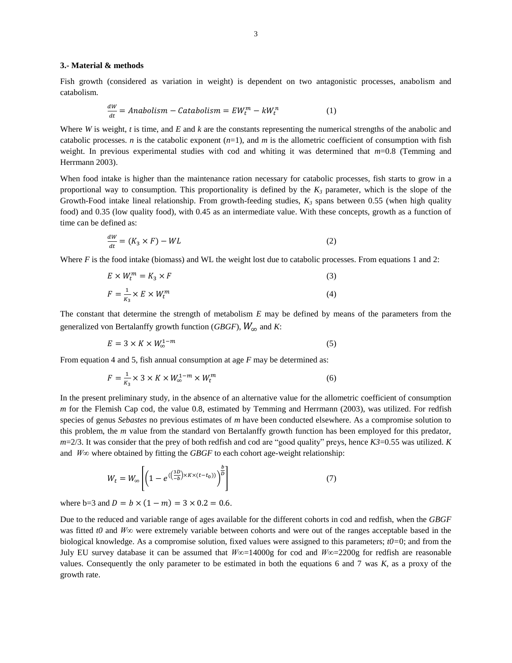#### **3.- Material & methods**

Fish growth (considered as variation in weight) is dependent on two antagonistic processes, anabolism and catabolism.

$$
\frac{dw}{dt} = Anabolism - Catabolism = EW_t^m - kW_t^n \tag{1}
$$

Where *W* is weight, *t* is time, and *E* and *k* are the constants representing the numerical strengths of the anabolic and catabolic processes. *n* is the catabolic exponent  $(n=1)$ , and *m* is the allometric coefficient of consumption with fish weight. In previous experimental studies with cod and whiting it was determined that *m*=0.8 (Temming and Herrmann 2003).

When food intake is higher than the maintenance ration necessary for catabolic processes, fish starts to grow in a proportional way to consumption. This proportionality is defined by the  $K_3$  parameter, which is the slope of the Growth-Food intake lineal relationship. From growth-feeding studies,  $K_3$  spans between 0.55 (when high quality food) and 0.35 (low quality food), with 0.45 as an intermediate value. With these concepts, growth as a function of time can be defined as:

$$
\frac{dW}{dt} = (K_3 \times F) - WL \tag{2}
$$

Where *F* is the food intake (biomass) and WL the weight lost due to catabolic processes. From equations 1 and 2:

$$
E \times W_t^m = K_3 \times F \tag{3}
$$

$$
F = \frac{1}{K_3} \times E \times W_t^m \tag{4}
$$

The constant that determine the strength of metabolism *E* may be defined by means of the parameters from the generalized von Bertalanffy growth function (*GBGF*),  $W_{\infty}$  and *K*:

$$
E = 3 \times K \times W_{\infty}^{1-m} \tag{5}
$$

From equation 4 and 5, fish annual consumption at age *F* may be determined as:

$$
F = \frac{1}{K_3} \times 3 \times K \times W_{\infty}^{1-m} \times W_t^m
$$
 (6)

In the present preliminary study, in the absence of an alternative value for the allometric coefficient of consumption *m* for the Flemish Cap cod, the value 0.8, estimated by Temming and Herrmann (2003), was utilized. For redfish species of genus *Sebastes* no previous estimates of *m* have been conducted elsewhere. As a compromise solution to this problem, the *m* value from the standard von Bertalanffy growth function has been employed for this predator, *m*=2/3. It was consider that the prey of both redfish and cod are "good quality" preys, hence *K3*=0.55 was utilized. *K* and *W∞* where obtained by fitting the *GBGF* to each cohort age-weight relationship:

$$
W_t = W_{\infty} \left[ \left( 1 - e^{\left( \left( \frac{3D}{-b} \right) \times K \times (t - t_0) \right)} \right)^{\frac{b}{D}} \right]
$$
 (7)

where b=3 and  $D = b \times (1 - m) = 3 \times 0.2 = 0.6$ .

Due to the reduced and variable range of ages available for the different cohorts in cod and redfish, when the *GBGF* was fitted *t0* and *W∞* were extremely variable between cohorts and were out of the ranges acceptable based in the biological knowledge. As a compromise solution, fixed values were assigned to this parameters; *t0=*0; and from the July EU survey database it can be assumed that *W∞*=14000g for cod and *W∞*=2200g for redfish are reasonable values. Consequently the only parameter to be estimated in both the equations 6 and 7 was *K*, as a proxy of the growth rate.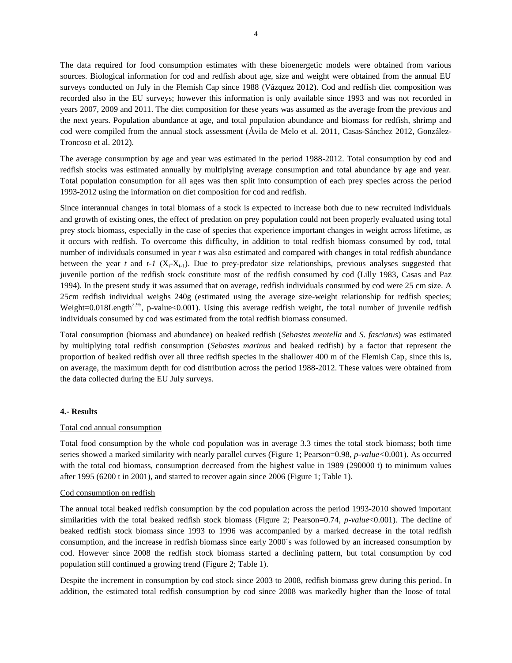The data required for food consumption estimates with these bioenergetic models were obtained from various sources. Biological information for cod and redfish about age, size and weight were obtained from the annual EU surveys conducted on July in the Flemish Cap since 1988 (Vázquez 2012). Cod and redfish diet composition was recorded also in the EU surveys; however this information is only available since 1993 and was not recorded in years 2007, 2009 and 2011. The diet composition for these years was assumed as the average from the previous and the next years. Population abundance at age, and total population abundance and biomass for redfish, shrimp and cod were compiled from the annual stock assessment (Ávila de Melo et al. 2011, Casas-Sánchez 2012, González-Troncoso et al. 2012).

The average consumption by age and year was estimated in the period 1988-2012. Total consumption by cod and redfish stocks was estimated annually by multiplying average consumption and total abundance by age and year. Total population consumption for all ages was then split into consumption of each prey species across the period 1993-2012 using the information on diet composition for cod and redfish.

Since interannual changes in total biomass of a stock is expected to increase both due to new recruited individuals and growth of existing ones, the effect of predation on prey population could not been properly evaluated using total prey stock biomass, especially in the case of species that experience important changes in weight across lifetime, as it occurs with redfish. To overcome this difficulty, in addition to total redfish biomass consumed by cod, total number of individuals consumed in year *t* was also estimated and compared with changes in total redfish abundance between the year  $t$  and  $t$ -1 ( $X_t$ - $X_{t-1}$ ). Due to prey-predator size relationships, previous analyses suggested that juvenile portion of the redfish stock constitute most of the redfish consumed by cod (Lilly 1983, Casas and Paz 1994). In the present study it was assumed that on average, redfish individuals consumed by cod were 25 cm size. A 25cm redfish individual weighs 240g (estimated using the average size-weight relationship for redfish species; Weight=0.018Length<sup>2.95</sup>, p-value<0.001). Using this average redfish weight, the total number of juvenile redfish individuals consumed by cod was estimated from the total redfish biomass consumed.

Total consumption (biomass and abundance) on beaked redfish (*Sebastes mentella* and *S. fasciatus*) was estimated by multiplying total redfish consumption (*Sebastes marinus* and beaked redfish) by a factor that represent the proportion of beaked redfish over all three redfish species in the shallower 400 m of the Flemish Cap, since this is, on average, the maximum depth for cod distribution across the period 1988-2012. These values were obtained from the data collected during the EU July surveys.

#### **4.- Results**

# Total cod annual consumption

Total food consumption by the whole cod population was in average 3.3 times the total stock biomass; both time series showed a marked similarity with nearly parallel curves (Figure 1; Pearson=0.98, *p-value<*0.001). As occurred with the total cod biomass, consumption decreased from the highest value in 1989 (290000 t) to minimum values after 1995 (6200 t in 2001), and started to recover again since 2006 (Figure 1; Table 1).

#### Cod consumption on redfish

The annual total beaked redfish consumption by the cod population across the period 1993-2010 showed important similarities with the total beaked redfish stock biomass (Figure 2; Pearson=0.74, *p-value*<0.001). The decline of beaked redfish stock biomass since 1993 to 1996 was accompanied by a marked decrease in the total redfish consumption, and the increase in redfish biomass since early 2000´s was followed by an increased consumption by cod. However since 2008 the redfish stock biomass started a declining pattern, but total consumption by cod population still continued a growing trend (Figure 2; Table 1).

Despite the increment in consumption by cod stock since 2003 to 2008, redfish biomass grew during this period. In addition, the estimated total redfish consumption by cod since 2008 was markedly higher than the loose of total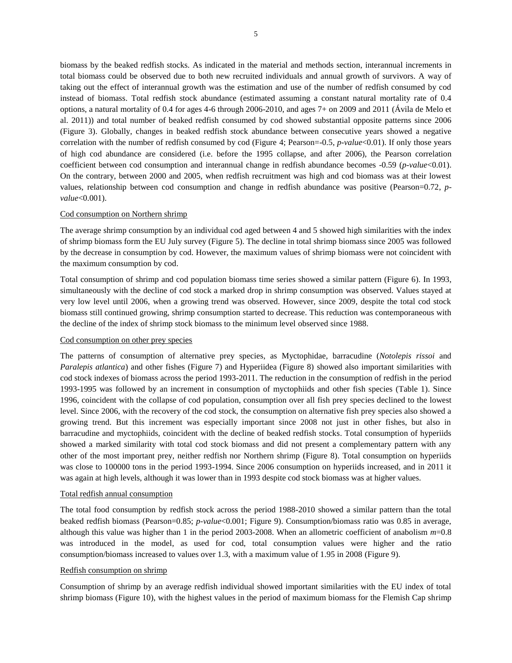biomass by the beaked redfish stocks. As indicated in the material and methods section, interannual increments in total biomass could be observed due to both new recruited individuals and annual growth of survivors. A way of taking out the effect of interannual growth was the estimation and use of the number of redfish consumed by cod instead of biomass. Total redfish stock abundance (estimated assuming a constant natural mortality rate of 0.4 options, a natural mortality of 0.4 for ages 4-6 through 2006-2010, and ages 7+ on 2009 and 2011 (Ávila de Melo et al. 2011)) and total number of beaked redfish consumed by cod showed substantial opposite patterns since 2006 (Figure 3). Globally, changes in beaked redfish stock abundance between consecutive years showed a negative correlation with the number of redfish consumed by cod (Figure 4; Pearson=-0.5, *p-value*<0.01). If only those years of high cod abundance are considered (i.e. before the 1995 collapse, and after 2006), the Pearson correlation coefficient between cod consumption and interannual change in redfish abundance becomes -0.59 (*p-value*<0.01). On the contrary, between 2000 and 2005, when redfish recruitment was high and cod biomass was at their lowest values, relationship between cod consumption and change in redfish abundance was positive (Pearson=0.72, *pvalue*<0.001).

### Cod consumption on Northern shrimp

The average shrimp consumption by an individual cod aged between 4 and 5 showed high similarities with the index of shrimp biomass form the EU July survey (Figure 5). The decline in total shrimp biomass since 2005 was followed by the decrease in consumption by cod. However, the maximum values of shrimp biomass were not coincident with the maximum consumption by cod.

Total consumption of shrimp and cod population biomass time series showed a similar pattern (Figure 6). In 1993, simultaneously with the decline of cod stock a marked drop in shrimp consumption was observed. Values stayed at very low level until 2006, when a growing trend was observed. However, since 2009, despite the total cod stock biomass still continued growing, shrimp consumption started to decrease. This reduction was contemporaneous with the decline of the index of shrimp stock biomass to the minimum level observed since 1988.

# Cod consumption on other prey species

The patterns of consumption of alternative prey species, as Myctophidae, barracudine (*Notolepis rissoi* and *Paralepis atlantica*) and other fishes (Figure 7) and Hyperiidea (Figure 8) showed also important similarities with cod stock indexes of biomass across the period 1993-2011. The reduction in the consumption of redfish in the period 1993-1995 was followed by an increment in consumption of myctophiids and other fish species (Table 1). Since 1996, coincident with the collapse of cod population, consumption over all fish prey species declined to the lowest level. Since 2006, with the recovery of the cod stock, the consumption on alternative fish prey species also showed a growing trend. But this increment was especially important since 2008 not just in other fishes, but also in barracudine and myctophiids, coincident with the decline of beaked redfish stocks. Total consumption of hyperiids showed a marked similarity with total cod stock biomass and did not present a complementary pattern with any other of the most important prey, neither redfish nor Northern shrimp (Figure 8). Total consumption on hyperiids was close to 100000 tons in the period 1993-1994. Since 2006 consumption on hyperiids increased, and in 2011 it was again at high levels, although it was lower than in 1993 despite cod stock biomass was at higher values.

#### Total redfish annual consumption

The total food consumption by redfish stock across the period 1988-2010 showed a similar pattern than the total beaked redfish biomass (Pearson=0.85; *p-value*<0.001; Figure 9). Consumption/biomass ratio was 0.85 in average, although this value was higher than 1 in the period 2003-2008. When an allometric coefficient of anabolism *m*=0.8 was introduced in the model, as used for cod, total consumption values were higher and the ratio consumption/biomass increased to values over 1.3, with a maximum value of 1.95 in 2008 (Figure 9).

# Redfish consumption on shrimp

Consumption of shrimp by an average redfish individual showed important similarities with the EU index of total shrimp biomass (Figure 10), with the highest values in the period of maximum biomass for the Flemish Cap shrimp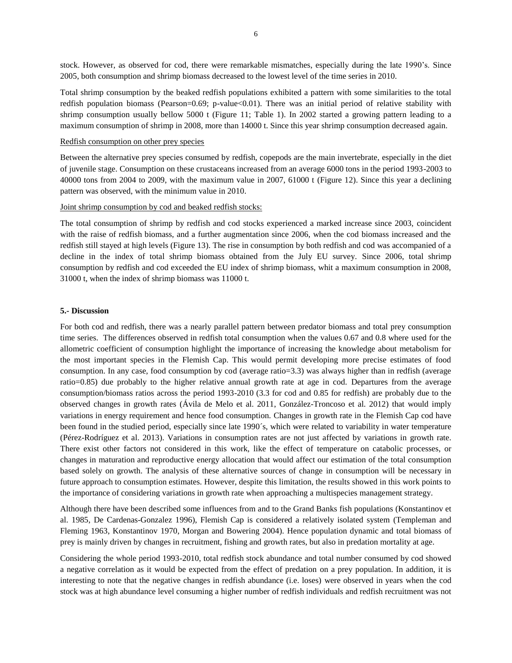stock. However, as observed for cod, there were remarkable mismatches, especially during the late 1990's. Since 2005, both consumption and shrimp biomass decreased to the lowest level of the time series in 2010.

Total shrimp consumption by the beaked redfish populations exhibited a pattern with some similarities to the total redfish population biomass (Pearson=0.69; p-value<0.01). There was an initial period of relative stability with shrimp consumption usually bellow 5000 t (Figure 11; Table 1). In 2002 started a growing pattern leading to a maximum consumption of shrimp in 2008, more than 14000 t. Since this year shrimp consumption decreased again.

#### Redfish consumption on other prey species

Between the alternative prey species consumed by redfish, copepods are the main invertebrate, especially in the diet of juvenile stage. Consumption on these crustaceans increased from an average 6000 tons in the period 1993-2003 to 40000 tons from 2004 to 2009, with the maximum value in 2007, 61000 t (Figure 12). Since this year a declining pattern was observed, with the minimum value in 2010.

#### Joint shrimp consumption by cod and beaked redfish stocks:

The total consumption of shrimp by redfish and cod stocks experienced a marked increase since 2003, coincident with the raise of redfish biomass, and a further augmentation since 2006, when the cod biomass increased and the redfish still stayed at high levels (Figure 13). The rise in consumption by both redfish and cod was accompanied of a decline in the index of total shrimp biomass obtained from the July EU survey. Since 2006, total shrimp consumption by redfish and cod exceeded the EU index of shrimp biomass, whit a maximum consumption in 2008, 31000 t, when the index of shrimp biomass was 11000 t.

#### **5.- Discussion**

For both cod and redfish, there was a nearly parallel pattern between predator biomass and total prey consumption time series. The differences observed in redfish total consumption when the values 0.67 and 0.8 where used for the allometric coefficient of consumption highlight the importance of increasing the knowledge about metabolism for the most important species in the Flemish Cap. This would permit developing more precise estimates of food consumption. In any case, food consumption by cod (average ratio=3.3) was always higher than in redfish (average ratio=0.85) due probably to the higher relative annual growth rate at age in cod. Departures from the average consumption/biomass ratios across the period 1993-2010 (3.3 for cod and 0.85 for redfish) are probably due to the observed changes in growth rates (Ávila de Melo et al. 2011, González-Troncoso et al. 2012) that would imply variations in energy requirement and hence food consumption. Changes in growth rate in the Flemish Cap cod have been found in the studied period, especially since late 1990´s, which were related to variability in water temperature (Pérez-Rodríguez et al. 2013). Variations in consumption rates are not just affected by variations in growth rate. There exist other factors not considered in this work, like the effect of temperature on catabolic processes, or changes in maturation and reproductive energy allocation that would affect our estimation of the total consumption based solely on growth. The analysis of these alternative sources of change in consumption will be necessary in future approach to consumption estimates. However, despite this limitation, the results showed in this work points to the importance of considering variations in growth rate when approaching a multispecies management strategy.

Although there have been described some influences from and to the Grand Banks fish populations (Konstantinov et al. 1985, De Cardenas-Gonzalez 1996), Flemish Cap is considered a relatively isolated system (Templeman and Fleming 1963, Konstantinov 1970, Morgan and Bowering 2004). Hence population dynamic and total biomass of prey is mainly driven by changes in recruitment, fishing and growth rates, but also in predation mortality at age.

Considering the whole period 1993-2010, total redfish stock abundance and total number consumed by cod showed a negative correlation as it would be expected from the effect of predation on a prey population. In addition, it is interesting to note that the negative changes in redfish abundance (i.e. loses) were observed in years when the cod stock was at high abundance level consuming a higher number of redfish individuals and redfish recruitment was not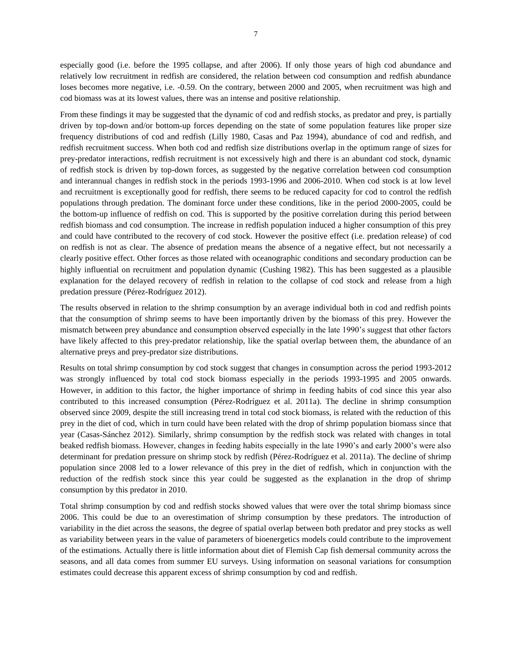especially good (i.e. before the 1995 collapse, and after 2006). If only those years of high cod abundance and relatively low recruitment in redfish are considered, the relation between cod consumption and redfish abundance loses becomes more negative, i.e. -0.59. On the contrary, between 2000 and 2005, when recruitment was high and cod biomass was at its lowest values, there was an intense and positive relationship.

From these findings it may be suggested that the dynamic of cod and redfish stocks, as predator and prey, is partially driven by top-down and/or bottom-up forces depending on the state of some population features like proper size frequency distributions of cod and redfish (Lilly 1980, Casas and Paz 1994), abundance of cod and redfish, and redfish recruitment success. When both cod and redfish size distributions overlap in the optimum range of sizes for prey-predator interactions, redfish recruitment is not excessively high and there is an abundant cod stock, dynamic of redfish stock is driven by top-down forces, as suggested by the negative correlation between cod consumption and interannual changes in redfish stock in the periods 1993-1996 and 2006-2010. When cod stock is at low level and recruitment is exceptionally good for redfish, there seems to be reduced capacity for cod to control the redfish populations through predation. The dominant force under these conditions, like in the period 2000-2005, could be the bottom-up influence of redfish on cod. This is supported by the positive correlation during this period between redfish biomass and cod consumption. The increase in redfish population induced a higher consumption of this prey and could have contributed to the recovery of cod stock. However the positive effect (i.e. predation release) of cod on redfish is not as clear. The absence of predation means the absence of a negative effect, but not necessarily a clearly positive effect. Other forces as those related with oceanographic conditions and secondary production can be highly influential on recruitment and population dynamic (Cushing 1982). This has been suggested as a plausible explanation for the delayed recovery of redfish in relation to the collapse of cod stock and release from a high predation pressure (Pérez-Rodríguez 2012).

The results observed in relation to the shrimp consumption by an average individual both in cod and redfish points that the consumption of shrimp seems to have been importantly driven by the biomass of this prey. However the mismatch between prey abundance and consumption observed especially in the late 1990's suggest that other factors have likely affected to this prey-predator relationship, like the spatial overlap between them, the abundance of an alternative preys and prey-predator size distributions.

Results on total shrimp consumption by cod stock suggest that changes in consumption across the period 1993-2012 was strongly influenced by total cod stock biomass especially in the periods 1993-1995 and 2005 onwards. However, in addition to this factor, the higher importance of shrimp in feeding habits of cod since this year also contributed to this increased consumption (Pérez-Rodríguez et al. 2011a). The decline in shrimp consumption observed since 2009, despite the still increasing trend in total cod stock biomass, is related with the reduction of this prey in the diet of cod, which in turn could have been related with the drop of shrimp population biomass since that year (Casas-Sánchez 2012). Similarly, shrimp consumption by the redfish stock was related with changes in total beaked redfish biomass. However, changes in feeding habits especially in the late 1990's and early 2000's were also determinant for predation pressure on shrimp stock by redfish (Pérez-Rodríguez et al. 2011a). The decline of shrimp population since 2008 led to a lower relevance of this prey in the diet of redfish, which in conjunction with the reduction of the redfish stock since this year could be suggested as the explanation in the drop of shrimp consumption by this predator in 2010.

Total shrimp consumption by cod and redfish stocks showed values that were over the total shrimp biomass since 2006. This could be due to an overestimation of shrimp consumption by these predators. The introduction of variability in the diet across the seasons, the degree of spatial overlap between both predator and prey stocks as well as variability between years in the value of parameters of bioenergetics models could contribute to the improvement of the estimations. Actually there is little information about diet of Flemish Cap fish demersal community across the seasons, and all data comes from summer EU surveys. Using information on seasonal variations for consumption estimates could decrease this apparent excess of shrimp consumption by cod and redfish.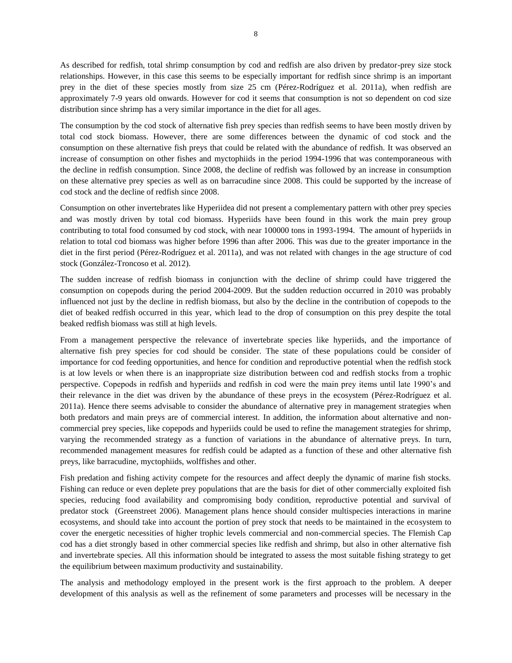As described for redfish, total shrimp consumption by cod and redfish are also driven by predator-prey size stock relationships. However, in this case this seems to be especially important for redfish since shrimp is an important prey in the diet of these species mostly from size 25 cm (Pérez-Rodríguez et al. 2011a), when redfish are approximately 7-9 years old onwards. However for cod it seems that consumption is not so dependent on cod size distribution since shrimp has a very similar importance in the diet for all ages.

The consumption by the cod stock of alternative fish prey species than redfish seems to have been mostly driven by total cod stock biomass. However, there are some differences between the dynamic of cod stock and the consumption on these alternative fish preys that could be related with the abundance of redfish. It was observed an increase of consumption on other fishes and myctophiids in the period 1994-1996 that was contemporaneous with the decline in redfish consumption. Since 2008, the decline of redfish was followed by an increase in consumption on these alternative prey species as well as on barracudine since 2008. This could be supported by the increase of cod stock and the decline of redfish since 2008.

Consumption on other invertebrates like Hyperiidea did not present a complementary pattern with other prey species and was mostly driven by total cod biomass. Hyperiids have been found in this work the main prey group contributing to total food consumed by cod stock, with near 100000 tons in 1993-1994. The amount of hyperiids in relation to total cod biomass was higher before 1996 than after 2006. This was due to the greater importance in the diet in the first period (Pérez-Rodríguez et al. 2011a), and was not related with changes in the age structure of cod stock (González-Troncoso et al. 2012).

The sudden increase of redfish biomass in conjunction with the decline of shrimp could have triggered the consumption on copepods during the period 2004-2009. But the sudden reduction occurred in 2010 was probably influenced not just by the decline in redfish biomass, but also by the decline in the contribution of copepods to the diet of beaked redfish occurred in this year, which lead to the drop of consumption on this prey despite the total beaked redfish biomass was still at high levels.

From a management perspective the relevance of invertebrate species like hyperiids, and the importance of alternative fish prey species for cod should be consider. The state of these populations could be consider of importance for cod feeding opportunities, and hence for condition and reproductive potential when the redfish stock is at low levels or when there is an inappropriate size distribution between cod and redfish stocks from a trophic perspective. Copepods in redfish and hyperiids and redfish in cod were the main prey items until late 1990's and their relevance in the diet was driven by the abundance of these preys in the ecosystem (Pérez-Rodríguez et al. 2011a). Hence there seems advisable to consider the abundance of alternative prey in management strategies when both predators and main preys are of commercial interest. In addition, the information about alternative and noncommercial prey species, like copepods and hyperiids could be used to refine the management strategies for shrimp, varying the recommended strategy as a function of variations in the abundance of alternative preys. In turn, recommended management measures for redfish could be adapted as a function of these and other alternative fish preys, like barracudine, myctophiids, wolffishes and other.

Fish predation and fishing activity compete for the resources and affect deeply the dynamic of marine fish stocks. Fishing can reduce or even deplete prey populations that are the basis for diet of other commercially exploited fish species, reducing food availability and compromising body condition, reproductive potential and survival of predator stock (Greenstreet 2006). Management plans hence should consider multispecies interactions in marine ecosystems, and should take into account the portion of prey stock that needs to be maintained in the ecosystem to cover the energetic necessities of higher trophic levels commercial and non-commercial species. The Flemish Cap cod has a diet strongly based in other commercial species like redfish and shrimp, but also in other alternative fish and invertebrate species. All this information should be integrated to assess the most suitable fishing strategy to get the equilibrium between maximum productivity and sustainability.

The analysis and methodology employed in the present work is the first approach to the problem. A deeper development of this analysis as well as the refinement of some parameters and processes will be necessary in the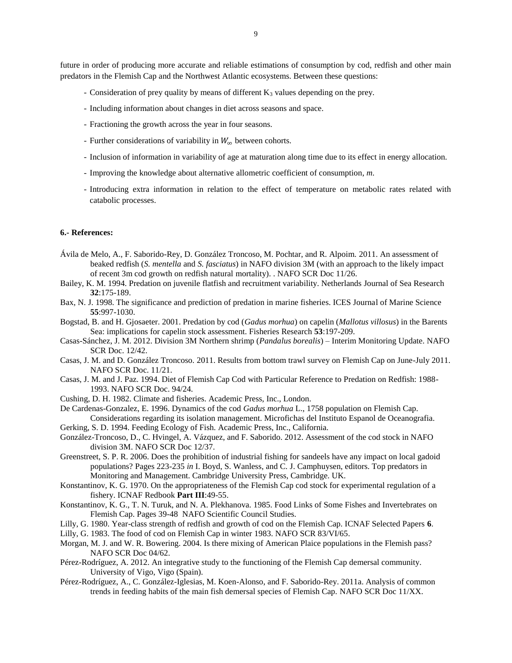future in order of producing more accurate and reliable estimations of consumption by cod, redfish and other main predators in the Flemish Cap and the Northwest Atlantic ecosystems. Between these questions:

- Consideration of prey quality by means of different  $K_3$  values depending on the prey.
- Including information about changes in diet across seasons and space.
- Fractioning the growth across the year in four seasons.
- Further considerations of variability in  $W_{\infty}$  between cohorts.
- Inclusion of information in variability of age at maturation along time due to its effect in energy allocation.
- Improving the knowledge about alternative allometric coefficient of consumption, *m*.
- Introducing extra information in relation to the effect of temperature on metabolic rates related with catabolic processes.

# **6.- References:**

- Ávila de Melo, A., F. Saborido-Rey, D. González Troncoso, M. Pochtar, and R. Alpoim. 2011. An assessment of beaked redfish (*S. mentella* and *S. fasciatus*) in NAFO division 3M (with an approach to the likely impact of recent 3m cod growth on redfish natural mortality). . NAFO SCR Doc 11/26.
- Bailey, K. M. 1994. Predation on juvenile flatfish and recruitment variability. Netherlands Journal of Sea Research **32**:175-189.
- Bax, N. J. 1998. The significance and prediction of predation in marine fisheries. ICES Journal of Marine Science **55**:997-1030.
- Bogstad, B. and H. Gjosaeter. 2001. Predation by cod (*Gadus morhua*) on capelin (*Mallotus villosus*) in the Barents Sea: implications for capelin stock assessment. Fisheries Research **53**:197-209.
- Casas-Sánchez, J. M. 2012. Division 3M Northern shrimp (*Pandalus borealis*) Interim Monitoring Update. NAFO SCR Doc. 12/42.
- Casas, J. M. and D. González Troncoso. 2011. Results from bottom trawl survey on Flemish Cap on June-July 2011. NAFO SCR Doc. 11/21.
- Casas, J. M. and J. Paz. 1994. Diet of Flemish Cap Cod with Particular Reference to Predation on Redfish: 1988- 1993. NAFO SCR Doc. 94/24.
- Cushing, D. H. 1982. Climate and fisheries. Academic Press, Inc., London.
- De Cardenas-Gonzalez, E. 1996. Dynamics of the cod *Gadus morhua* L., 1758 population on Flemish Cap. Considerations regarding its isolation management. Microfichas del Instituto Espanol de Oceanografia.
- Gerking, S. D. 1994. Feeding Ecology of Fish. Academic Press, Inc., California.
- González-Troncoso, D., C. Hvingel, A. Vázquez, and F. Saborido. 2012. Assessment of the cod stock in NAFO division 3M. NAFO SCR Doc 12/37.
- Greenstreet, S. P. R. 2006. Does the prohibition of industrial fishing for sandeels have any impact on local gadoid populations? Pages 223-235 *in* I. Boyd, S. Wanless, and C. J. Camphuysen, editors. Top predators in Monitoring and Management. Cambridge University Press, Cambridge. UK.
- Konstantinov, K. G. 1970. On the appropriateness of the Flemish Cap cod stock for experimental regulation of a fishery. ICNAF Redbook **Part III**:49-55.
- Konstantinov, K. G., T. N. Turuk, and N. A. Plekhanova. 1985. Food Links of Some Fishes and Invertebrates on Flemish Cap. Pages 39-48 NAFO Scientific Council Studies.
- Lilly, G. 1980. Year-class strength of redfish and growth of cod on the Flemish Cap. ICNAF Selected Papers **6**.
- Lilly, G. 1983. The food of cod on Flemish Cap in winter 1983. NAFO SCR 83/VI/65.
- Morgan, M. J. and W. R. Bowering. 2004. Is there mixing of American Plaice populations in the Flemish pass? NAFO SCR Doc 04/62.
- Pérez-Rodríguez, A. 2012. An integrative study to the functioning of the Flemish Cap demersal community. University of Vigo, Vigo (Spain).
- Pérez-Rodríguez, A., C. González-Iglesias, M. Koen-Alonso, and F. Saborido-Rey. 2011a. Analysis of common trends in feeding habits of the main fish demersal species of Flemish Cap. NAFO SCR Doc 11/XX.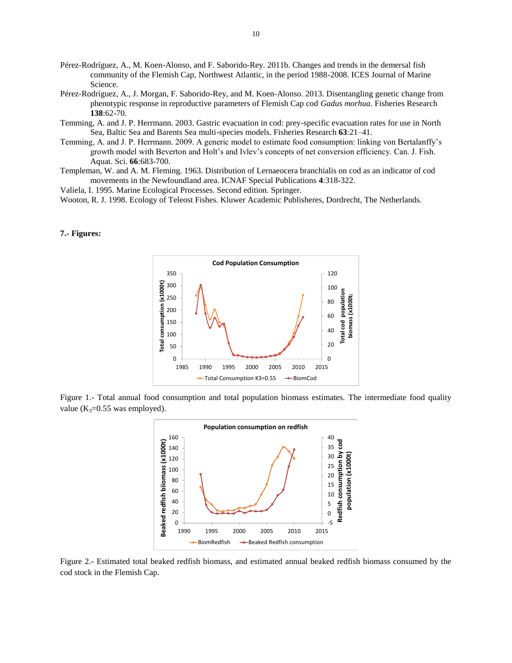- Pérez-Rodríguez, A., M. Koen-Alonso, and F. Saborido-Rey. 2011b. Changes and trends in the demersal fish community of the Flemish Cap, Northwest Atlantic, in the period 1988-2008. ICES Journal of Marine Science.
- Pérez-Rodríguez, A., J. Morgan, F. Saborido-Rey, and M. Koen-Alonso. 2013. Disentangling genetic change from phenotypic response in reproductive parameters of Flemish Cap cod *Gadus morhua*. Fisheries Research **138**:62-70.
- Temming, A. and J. P. Herrmann. 2003. Gastric evacuation in cod: prey-specific evacuation rates for use in North Sea, Baltic Sea and Barents Sea multi-species models. Fisheries Research **63**:21–41.
- Temming, A. and J. P. Herrmann. 2009. A generic model to estimate food consumption: linking von Bertalanffy's growth model with Beverton and Holt's and Ivlev's concepts of net conversion efficiency. Can. J. Fish. Aquat. Sci. **66**:683-700.
- Templeman, W. and A. M. Fleming. 1963. Distribution of Lernaeocera branchialis on cod as an indicator of cod movements in the Newfoundland area. ICNAF Special Publications **4**:318-322.

Valiela, I. 1995. Marine Ecological Processes. Second edition. Springer.

Wooton, R. J. 1998. Ecology of Teleost Fishes. Kluwer Academic Publisheres, Dordrecht, The Netherlands.

#### **7.- Figures:**



Figure 1.- Total annual food consumption and total population biomass estimates. The intermediate food quality value ( $K_3=0.55$  was employed).



Figure 2.- Estimated total beaked redfish biomass, and estimated annual beaked redfish biomass consumed by the cod stock in the Flemish Cap.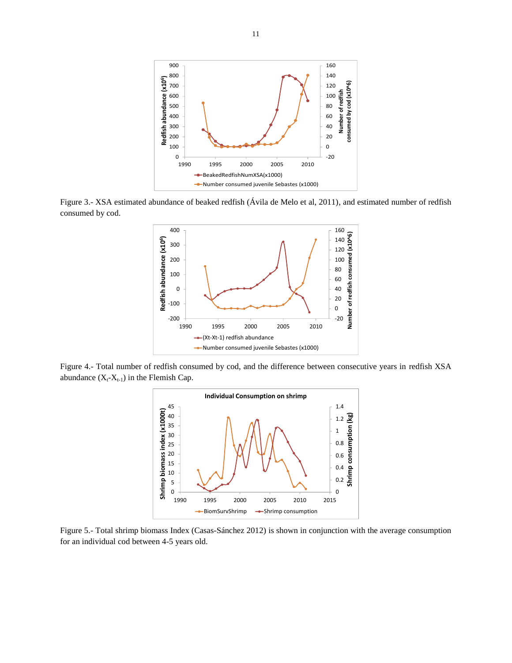

Figure 3.- XSA estimated abundance of beaked redfish (Ávila de Melo et al, 2011), and estimated number of redfish consumed by cod.



Figure 4.- Total number of redfish consumed by cod, and the difference between consecutive years in redfish XSA abundance  $(X_t-X_{t-1})$  in the Flemish Cap.



Figure 5.- Total shrimp biomass Index (Casas-Sánchez 2012) is shown in conjunction with the average consumption for an individual cod between 4-5 years old.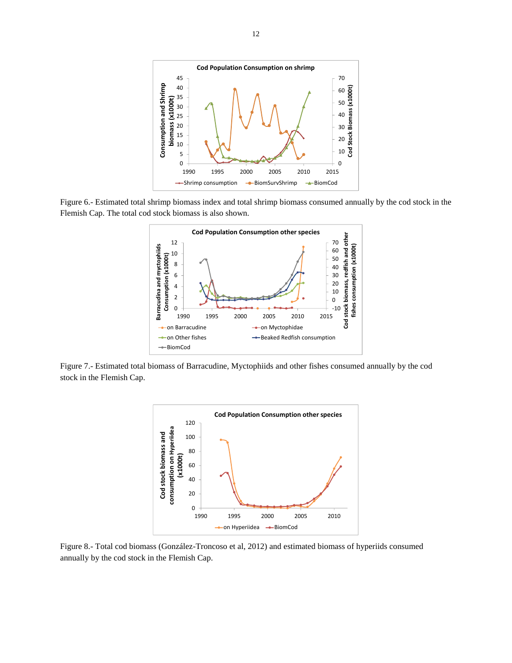

Figure 6.- Estimated total shrimp biomass index and total shrimp biomass consumed annually by the cod stock in the Flemish Cap. The total cod stock biomass is also shown.



Figure 7.- Estimated total biomass of Barracudine, Myctophiids and other fishes consumed annually by the cod stock in the Flemish Cap.



Figure 8.- Total cod biomass (González-Troncoso et al, 2012) and estimated biomass of hyperiids consumed annually by the cod stock in the Flemish Cap.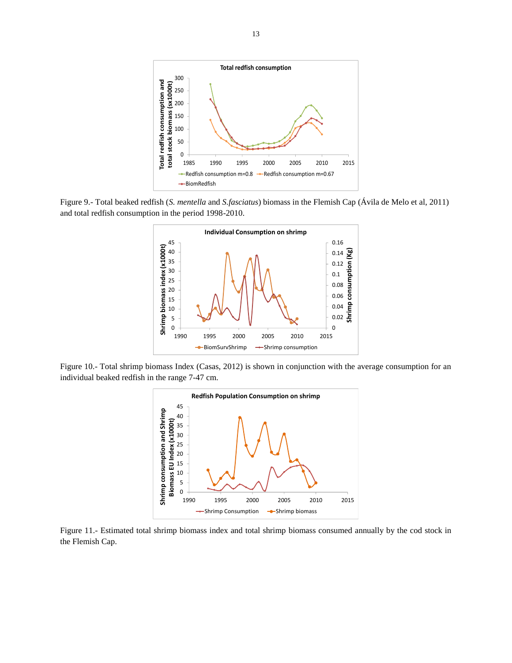

Figure 9.- Total beaked redfish (*S. mentella* and *S.fasciatus*) biomass in the Flemish Cap (Ávila de Melo et al, 2011) and total redfish consumption in the period 1998-2010.



Figure 10.- Total shrimp biomass Index (Casas, 2012) is shown in conjunction with the average consumption for an individual beaked redfish in the range 7-47 cm.



Figure 11.- Estimated total shrimp biomass index and total shrimp biomass consumed annually by the cod stock in the Flemish Cap.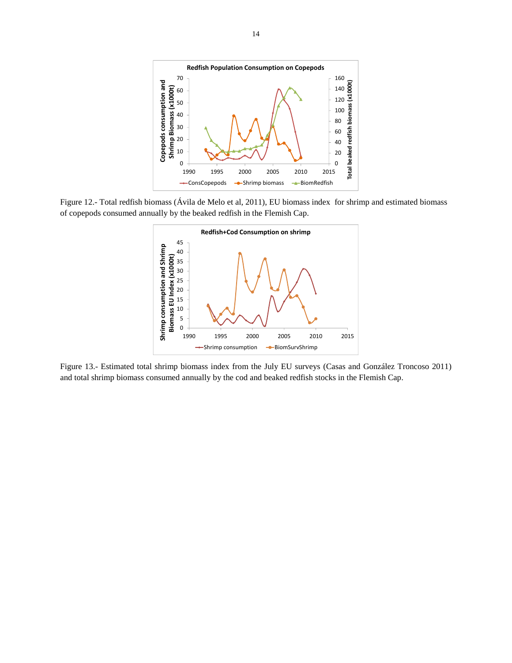

Figure 12.- Total redfish biomass (Ávila de Melo et al, 2011), EU biomass index for shrimp and estimated biomass of copepods consumed annually by the beaked redfish in the Flemish Cap.



Figure 13.- Estimated total shrimp biomass index from the July EU surveys (Casas and González Troncoso 2011) and total shrimp biomass consumed annually by the cod and beaked redfish stocks in the Flemish Cap.